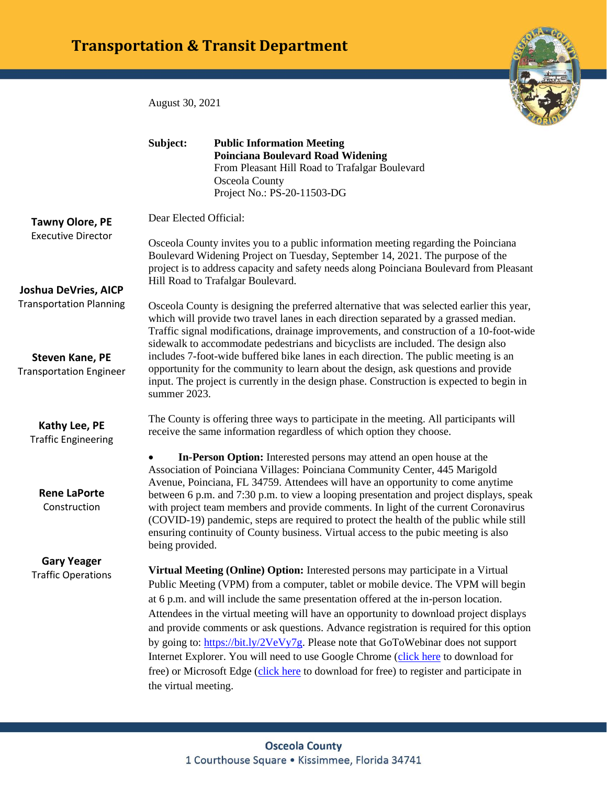## **Transportation & Transit Department**

August 30, 2021

|                                                          | Subject:                                                                                                                                                                                                                                                                                                                                                                                                                                                                                                                                                                                                                                                     | <b>Public Information Meeting</b><br><b>Poinciana Boulevard Road Widening</b><br>From Pleasant Hill Road to Trafalgar Boulevard<br>Osceola County<br>Project No.: PS-20-11503-DG                                                                                                                                                                                                                                                                                                                                                                                                                           |
|----------------------------------------------------------|--------------------------------------------------------------------------------------------------------------------------------------------------------------------------------------------------------------------------------------------------------------------------------------------------------------------------------------------------------------------------------------------------------------------------------------------------------------------------------------------------------------------------------------------------------------------------------------------------------------------------------------------------------------|------------------------------------------------------------------------------------------------------------------------------------------------------------------------------------------------------------------------------------------------------------------------------------------------------------------------------------------------------------------------------------------------------------------------------------------------------------------------------------------------------------------------------------------------------------------------------------------------------------|
| <b>Tawny Olore, PE</b><br><b>Executive Director</b>      | Dear Elected Official:                                                                                                                                                                                                                                                                                                                                                                                                                                                                                                                                                                                                                                       |                                                                                                                                                                                                                                                                                                                                                                                                                                                                                                                                                                                                            |
|                                                          | Osceola County invites you to a public information meeting regarding the Poinciana<br>Boulevard Widening Project on Tuesday, September 14, 2021. The purpose of the<br>project is to address capacity and safety needs along Poinciana Boulevard from Pleasant<br>Hill Road to Trafalgar Boulevard.                                                                                                                                                                                                                                                                                                                                                          |                                                                                                                                                                                                                                                                                                                                                                                                                                                                                                                                                                                                            |
| <b>Joshua DeVries, AICP</b>                              |                                                                                                                                                                                                                                                                                                                                                                                                                                                                                                                                                                                                                                                              |                                                                                                                                                                                                                                                                                                                                                                                                                                                                                                                                                                                                            |
| <b>Transportation Planning</b>                           | Osceola County is designing the preferred alternative that was selected earlier this year,<br>which will provide two travel lanes in each direction separated by a grassed median.<br>Traffic signal modifications, drainage improvements, and construction of a 10-foot-wide<br>sidewalk to accommodate pedestrians and bicyclists are included. The design also<br>includes 7-foot-wide buffered bike lanes in each direction. The public meeting is an<br>opportunity for the community to learn about the design, ask questions and provide<br>input. The project is currently in the design phase. Construction is expected to begin in<br>summer 2023. |                                                                                                                                                                                                                                                                                                                                                                                                                                                                                                                                                                                                            |
| <b>Steven Kane, PE</b><br><b>Transportation Engineer</b> |                                                                                                                                                                                                                                                                                                                                                                                                                                                                                                                                                                                                                                                              |                                                                                                                                                                                                                                                                                                                                                                                                                                                                                                                                                                                                            |
| Kathy Lee, PE<br><b>Traffic Engineering</b>              |                                                                                                                                                                                                                                                                                                                                                                                                                                                                                                                                                                                                                                                              | The County is offering three ways to participate in the meeting. All participants will<br>receive the same information regardless of which option they choose.                                                                                                                                                                                                                                                                                                                                                                                                                                             |
| <b>Rene LaPorte</b><br>Construction                      | ٠<br>being provided.                                                                                                                                                                                                                                                                                                                                                                                                                                                                                                                                                                                                                                         | In-Person Option: Interested persons may attend an open house at the<br>Association of Poinciana Villages: Poinciana Community Center, 445 Marigold<br>Avenue, Poinciana, FL 34759. Attendees will have an opportunity to come anytime<br>between 6 p.m. and 7:30 p.m. to view a looping presentation and project displays, speak<br>with project team members and provide comments. In light of the current Coronavirus<br>(COVID-19) pandemic, steps are required to protect the health of the public while still<br>ensuring continuity of County business. Virtual access to the pubic meeting is also |
| <b>Gary Yeager</b>                                       |                                                                                                                                                                                                                                                                                                                                                                                                                                                                                                                                                                                                                                                              |                                                                                                                                                                                                                                                                                                                                                                                                                                                                                                                                                                                                            |
| <b>Traffic Operations</b>                                |                                                                                                                                                                                                                                                                                                                                                                                                                                                                                                                                                                                                                                                              | Virtual Meeting (Online) Option: Interested persons may participate in a Virtual                                                                                                                                                                                                                                                                                                                                                                                                                                                                                                                           |
|                                                          |                                                                                                                                                                                                                                                                                                                                                                                                                                                                                                                                                                                                                                                              | Public Meeting (VPM) from a computer, tablet or mobile device. The VPM will begin                                                                                                                                                                                                                                                                                                                                                                                                                                                                                                                          |
|                                                          |                                                                                                                                                                                                                                                                                                                                                                                                                                                                                                                                                                                                                                                              | at 6 p.m. and will include the same presentation offered at the in-person location.                                                                                                                                                                                                                                                                                                                                                                                                                                                                                                                        |
|                                                          |                                                                                                                                                                                                                                                                                                                                                                                                                                                                                                                                                                                                                                                              | Attendees in the virtual meeting will have an opportunity to download project displays<br>and provide comments or ask questions. Advance registration is required for this option                                                                                                                                                                                                                                                                                                                                                                                                                          |
|                                                          |                                                                                                                                                                                                                                                                                                                                                                                                                                                                                                                                                                                                                                                              | by going to: https://bit.ly/2VeVy7g. Please note that GoToWebinar does not support                                                                                                                                                                                                                                                                                                                                                                                                                                                                                                                         |
|                                                          |                                                                                                                                                                                                                                                                                                                                                                                                                                                                                                                                                                                                                                                              | Internet Explorer. You will need to use Google Chrome (click here to download for                                                                                                                                                                                                                                                                                                                                                                                                                                                                                                                          |
|                                                          |                                                                                                                                                                                                                                                                                                                                                                                                                                                                                                                                                                                                                                                              | free) or Microsoft Edge (click here to download for free) to register and participate in                                                                                                                                                                                                                                                                                                                                                                                                                                                                                                                   |
|                                                          | the virtual meeting.                                                                                                                                                                                                                                                                                                                                                                                                                                                                                                                                                                                                                                         |                                                                                                                                                                                                                                                                                                                                                                                                                                                                                                                                                                                                            |